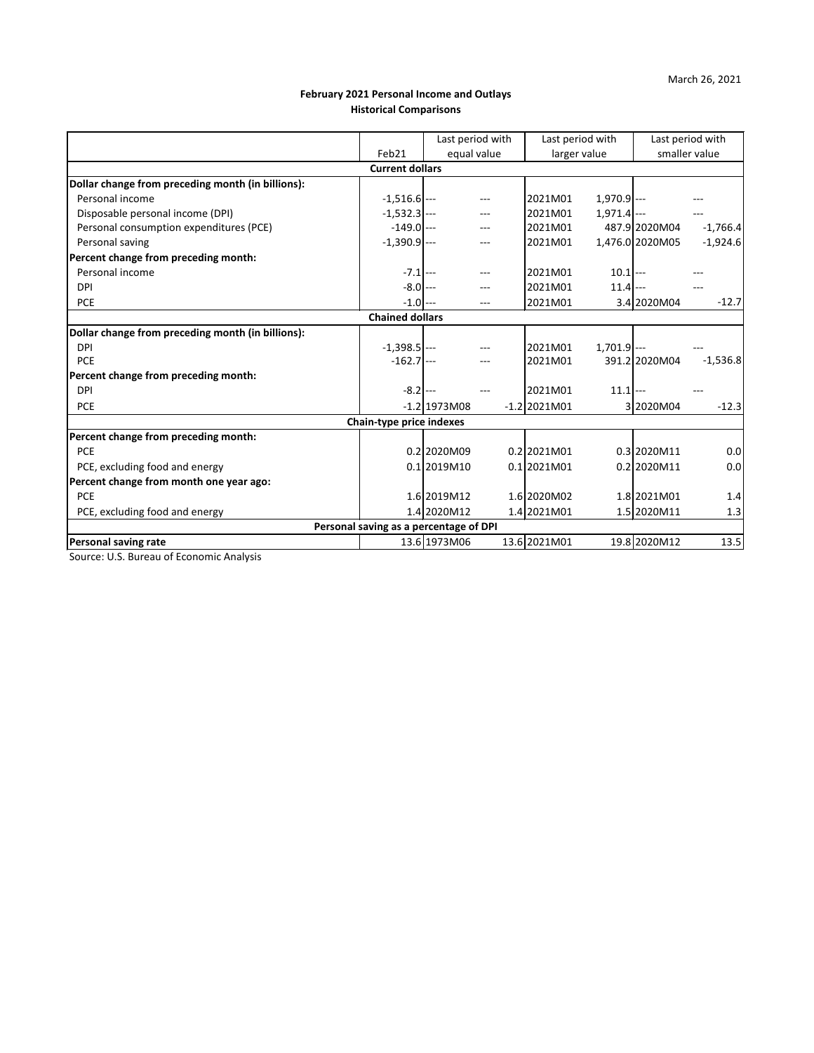## **February 2021 Personal Income and Outlays Historical Comparisons**

|                                                                             |  |                                                                                                                                                                                                                                                                                                                                  |                                 |                                                                                             | Last period with                 |                                                                                                                                                                                                                                                        |  |  |  |  |  |
|-----------------------------------------------------------------------------|--|----------------------------------------------------------------------------------------------------------------------------------------------------------------------------------------------------------------------------------------------------------------------------------------------------------------------------------|---------------------------------|---------------------------------------------------------------------------------------------|----------------------------------|--------------------------------------------------------------------------------------------------------------------------------------------------------------------------------------------------------------------------------------------------------|--|--|--|--|--|
| Feb21                                                                       |  |                                                                                                                                                                                                                                                                                                                                  |                                 |                                                                                             | smaller value                    |                                                                                                                                                                                                                                                        |  |  |  |  |  |
| <b>Current dollars</b><br>Dollar change from preceding month (in billions): |  |                                                                                                                                                                                                                                                                                                                                  |                                 |                                                                                             |                                  |                                                                                                                                                                                                                                                        |  |  |  |  |  |
|                                                                             |  |                                                                                                                                                                                                                                                                                                                                  |                                 |                                                                                             |                                  |                                                                                                                                                                                                                                                        |  |  |  |  |  |
|                                                                             |  |                                                                                                                                                                                                                                                                                                                                  | 2021M01                         |                                                                                             |                                  |                                                                                                                                                                                                                                                        |  |  |  |  |  |
|                                                                             |  | $---$                                                                                                                                                                                                                                                                                                                            | 2021M01                         |                                                                                             |                                  |                                                                                                                                                                                                                                                        |  |  |  |  |  |
|                                                                             |  |                                                                                                                                                                                                                                                                                                                                  | 2021M01                         |                                                                                             |                                  | $-1,766.4$                                                                                                                                                                                                                                             |  |  |  |  |  |
|                                                                             |  |                                                                                                                                                                                                                                                                                                                                  | 2021M01                         |                                                                                             |                                  | $-1,924.6$                                                                                                                                                                                                                                             |  |  |  |  |  |
|                                                                             |  |                                                                                                                                                                                                                                                                                                                                  |                                 |                                                                                             |                                  |                                                                                                                                                                                                                                                        |  |  |  |  |  |
|                                                                             |  | ---                                                                                                                                                                                                                                                                                                                              | 2021M01                         |                                                                                             |                                  |                                                                                                                                                                                                                                                        |  |  |  |  |  |
|                                                                             |  | ---                                                                                                                                                                                                                                                                                                                              | 2021M01                         |                                                                                             |                                  |                                                                                                                                                                                                                                                        |  |  |  |  |  |
|                                                                             |  | $---$                                                                                                                                                                                                                                                                                                                            | 2021M01                         |                                                                                             |                                  | $-12.7$                                                                                                                                                                                                                                                |  |  |  |  |  |
|                                                                             |  |                                                                                                                                                                                                                                                                                                                                  |                                 |                                                                                             |                                  |                                                                                                                                                                                                                                                        |  |  |  |  |  |
|                                                                             |  |                                                                                                                                                                                                                                                                                                                                  |                                 |                                                                                             |                                  |                                                                                                                                                                                                                                                        |  |  |  |  |  |
|                                                                             |  |                                                                                                                                                                                                                                                                                                                                  | 2021M01                         |                                                                                             |                                  |                                                                                                                                                                                                                                                        |  |  |  |  |  |
|                                                                             |  |                                                                                                                                                                                                                                                                                                                                  | 2021M01                         |                                                                                             |                                  | $-1,536.8$                                                                                                                                                                                                                                             |  |  |  |  |  |
|                                                                             |  |                                                                                                                                                                                                                                                                                                                                  |                                 |                                                                                             |                                  |                                                                                                                                                                                                                                                        |  |  |  |  |  |
|                                                                             |  |                                                                                                                                                                                                                                                                                                                                  | 2021M01                         |                                                                                             |                                  |                                                                                                                                                                                                                                                        |  |  |  |  |  |
|                                                                             |  |                                                                                                                                                                                                                                                                                                                                  |                                 |                                                                                             |                                  | $-12.3$                                                                                                                                                                                                                                                |  |  |  |  |  |
|                                                                             |  |                                                                                                                                                                                                                                                                                                                                  |                                 |                                                                                             |                                  |                                                                                                                                                                                                                                                        |  |  |  |  |  |
|                                                                             |  |                                                                                                                                                                                                                                                                                                                                  |                                 |                                                                                             |                                  |                                                                                                                                                                                                                                                        |  |  |  |  |  |
|                                                                             |  |                                                                                                                                                                                                                                                                                                                                  |                                 |                                                                                             |                                  | 0.0                                                                                                                                                                                                                                                    |  |  |  |  |  |
|                                                                             |  |                                                                                                                                                                                                                                                                                                                                  |                                 |                                                                                             |                                  | 0.0                                                                                                                                                                                                                                                    |  |  |  |  |  |
|                                                                             |  |                                                                                                                                                                                                                                                                                                                                  |                                 |                                                                                             |                                  |                                                                                                                                                                                                                                                        |  |  |  |  |  |
|                                                                             |  |                                                                                                                                                                                                                                                                                                                                  |                                 |                                                                                             |                                  | 1.4                                                                                                                                                                                                                                                    |  |  |  |  |  |
|                                                                             |  |                                                                                                                                                                                                                                                                                                                                  |                                 |                                                                                             |                                  | 1.3                                                                                                                                                                                                                                                    |  |  |  |  |  |
| PCE, excluding food and energy<br>Personal saving as a percentage of DPI    |  |                                                                                                                                                                                                                                                                                                                                  |                                 |                                                                                             |                                  |                                                                                                                                                                                                                                                        |  |  |  |  |  |
|                                                                             |  |                                                                                                                                                                                                                                                                                                                                  |                                 |                                                                                             |                                  | 13.5                                                                                                                                                                                                                                                   |  |  |  |  |  |
|                                                                             |  | $-1,516.6$ $---$<br>$-1,532.3$ ---<br>$-149.0$ $---$<br>$-1,390.9$ $---$<br>$-7.1$ $-$<br>$-8.0$ ---<br>$-1.0$ $---$<br><b>Chained dollars</b><br>$-1,398.5$ $---$<br>$-162.7$ $---$<br>$-8.2$ ---<br>$-1.2$  1973M08<br>Chain-type price indexes<br>0.2 2020M09<br>$0.1$  2019M10<br>1.6 2019M12<br>1.4 2020M12<br>13.6 1973M06 | Last period with<br>equal value | $-1.2$  2021M01<br>0.2 2021M01<br>0.1 2021M01<br>1.6 2020M02<br>1.4 2021M01<br>13.6 2021M01 | Last period with<br>larger value | $1,970.9$ ---<br>$1,971.4$ ---<br>487.9 2020M04<br>1,476.0 2020M05<br>$10.1$ ---<br>$11.4$ ---<br>3.4 2020M04<br>$1,701.9$ ---<br>391.2 2020M04<br>$11.1$ $-$<br>3 2020M04<br>0.3 2020M11<br>0.2 2020M11<br>1.8 2021M01<br>1.5 2020M11<br>19.8 2020M12 |  |  |  |  |  |

Source: U.S. Bureau of Economic Analysis